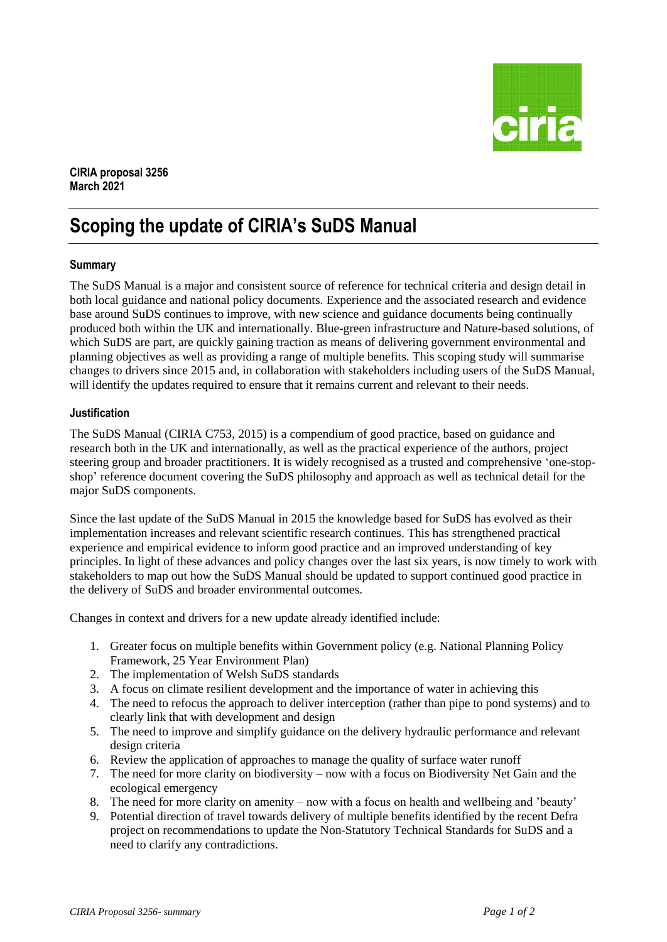

**CIRIA proposal 3256 March 2021**

# **Scoping the update of CIRIA's SuDS Manual**

## **Summary**

The SuDS Manual is a major and consistent source of reference for technical criteria and design detail in both local guidance and national policy documents. Experience and the associated research and evidence base around SuDS continues to improve, with new science and guidance documents being continually produced both within the UK and internationally. Blue-green infrastructure and Nature-based solutions, of which SuDS are part, are quickly gaining traction as means of delivering government environmental and planning objectives as well as providing a range of multiple benefits. This scoping study will summarise changes to drivers since 2015 and, in collaboration with stakeholders including users of the SuDS Manual, will identify the updates required to ensure that it remains current and relevant to their needs.

## **Justification**

The SuDS Manual (CIRIA C753, 2015) is a compendium of good practice, based on guidance and research both in the UK and internationally, as well as the practical experience of the authors, project steering group and broader practitioners. It is widely recognised as a trusted and comprehensive 'one-stopshop' reference document covering the SuDS philosophy and approach as well as technical detail for the major SuDS components.

Since the last update of the SuDS Manual in 2015 the knowledge based for SuDS has evolved as their implementation increases and relevant scientific research continues. This has strengthened practical experience and empirical evidence to inform good practice and an improved understanding of key principles. In light of these advances and policy changes over the last six years, is now timely to work with stakeholders to map out how the SuDS Manual should be updated to support continued good practice in the delivery of SuDS and broader environmental outcomes.

Changes in context and drivers for a new update already identified include:

- 1. Greater focus on multiple benefits within Government policy (e.g. National Planning Policy Framework, 25 Year Environment Plan)
- 2. The implementation of Welsh SuDS standards
- 3. A focus on climate resilient development and the importance of water in achieving this
- 4. The need to refocus the approach to deliver interception (rather than pipe to pond systems) and to clearly link that with development and design
- 5. The need to improve and simplify guidance on the delivery hydraulic performance and relevant design criteria
- 6. Review the application of approaches to manage the quality of surface water runoff
- 7. The need for more clarity on biodiversity now with a focus on Biodiversity Net Gain and the ecological emergency
- 8. The need for more clarity on amenity now with a focus on health and wellbeing and 'beauty'
- 9. Potential direction of travel towards delivery of multiple benefits identified by the recent Defra project on recommendations to update the Non-Statutory Technical Standards for SuDS and a need to clarify any contradictions.